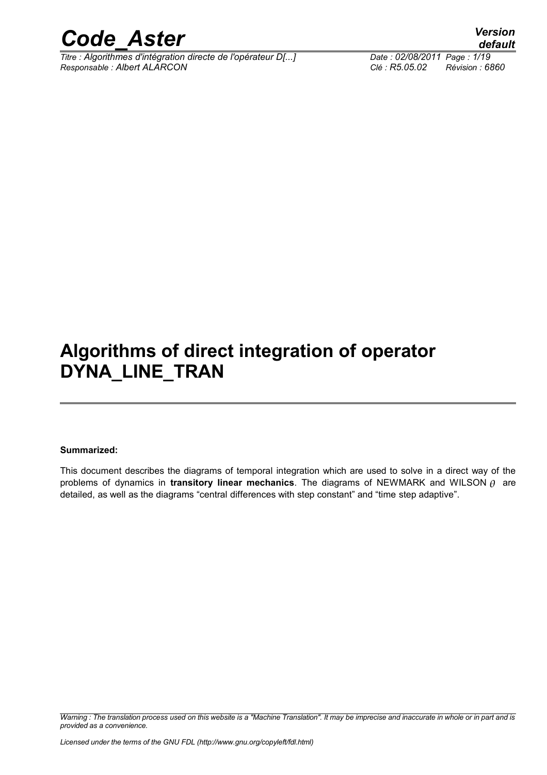

*Titre : Algorithmes d'intégration directe de l'opérateur D[...] Date : 02/08/2011 Page : 1/19 Responsable : Albert ALARCON Clé : R5.05.02 Révision : 6860*

*default*

### **Algorithms of direct integration of operator DYNA\_LINE\_TRAN**

#### **Summarized:**

This document describes the diagrams of temporal integration which are used to solve in a direct way of the problems of dynamics in **transitory linear mechanics**. The diagrams of NEWMARK and WILSON  $\theta$  are detailed, as well as the diagrams "central differences with step constant" and "time step adaptive".

*Warning : The translation process used on this website is a "Machine Translation". It may be imprecise and inaccurate in whole or in part and is provided as a convenience.*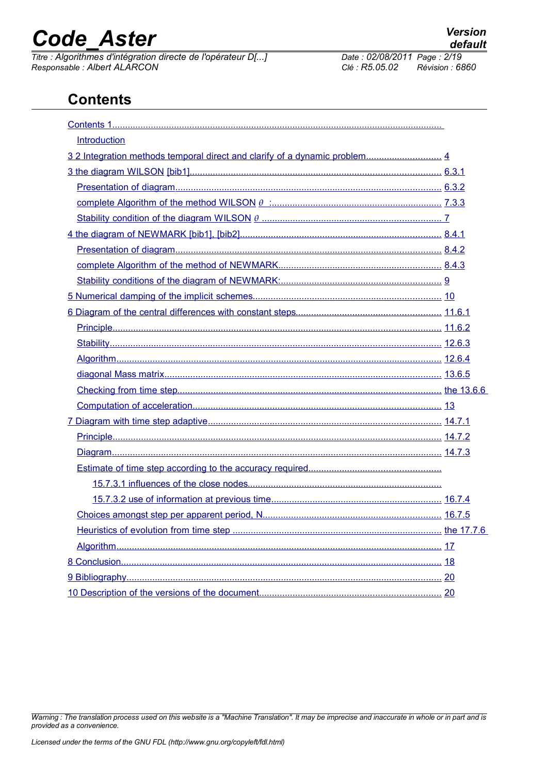**Contents**

Contents 1.

*Titre : Algorithmes d'intégration directe de l'opérateur D[...] Date : 02/08/2011 Page : 2/19 Responsable : Albert ALARCON Clé : R5.05.02 Révision : 6860*

| Introduction                                                              |  |
|---------------------------------------------------------------------------|--|
| 32 Integration methods temporal direct and clarify of a dynamic problem 4 |  |
|                                                                           |  |
|                                                                           |  |
|                                                                           |  |
|                                                                           |  |
|                                                                           |  |
|                                                                           |  |
|                                                                           |  |
|                                                                           |  |
|                                                                           |  |
|                                                                           |  |
|                                                                           |  |
|                                                                           |  |
|                                                                           |  |
|                                                                           |  |
|                                                                           |  |
|                                                                           |  |
|                                                                           |  |
|                                                                           |  |
|                                                                           |  |
|                                                                           |  |
|                                                                           |  |
|                                                                           |  |
|                                                                           |  |
|                                                                           |  |
|                                                                           |  |
|                                                                           |  |
|                                                                           |  |
|                                                                           |  |

*Warning : The translation process used on this website is a "Machine Translation". It may be imprecise and inaccurate in whole or in part and is provided as a convenience.*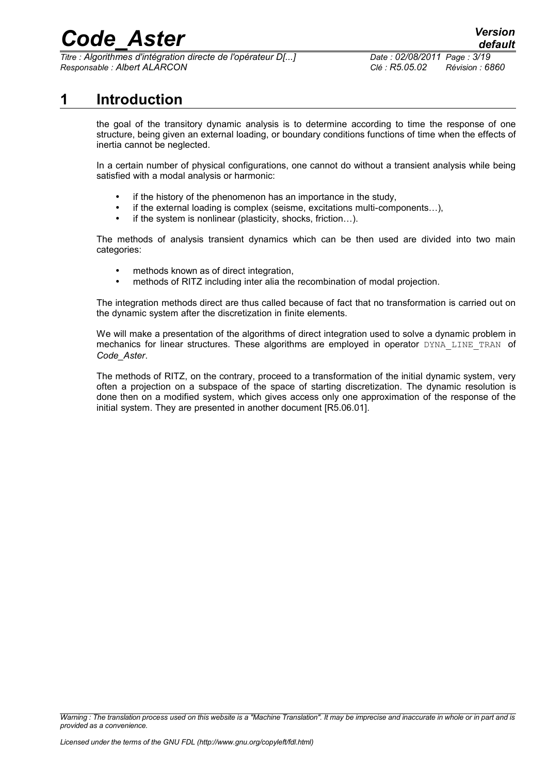*Titre : Algorithmes d'intégration directe de l'opérateur D[...] Date : 02/08/2011 Page : 3/19 Responsable : Albert ALARCON Clé : R5.05.02 Révision : 6860*

#### **1 Introduction**

<span id="page-2-0"></span>the goal of the transitory dynamic analysis is to determine according to time the response of one structure, being given an external loading, or boundary conditions functions of time when the effects of inertia cannot be neglected.

In a certain number of physical configurations, one cannot do without a transient analysis while being satisfied with a modal analysis or harmonic:

- if the history of the phenomenon has an importance in the study,
- if the external loading is complex (seisme, excitations multi-components...),
- if the system is nonlinear (plasticity, shocks, friction...).

The methods of analysis transient dynamics which can be then used are divided into two main categories:

- methods known as of direct integration.
- methods of RITZ including inter alia the recombination of modal projection.

The integration methods direct are thus called because of fact that no transformation is carried out on the dynamic system after the discretization in finite elements.

We will make a presentation of the algorithms of direct integration used to solve a dynamic problem in mechanics for linear structures. These algorithms are employed in operator DYNA LINE TRAN of *Code\_Aster*.

The methods of RITZ, on the contrary, proceed to a transformation of the initial dynamic system, very often a projection on a subspace of the space of starting discretization. The dynamic resolution is done then on a modified system, which gives access only one approximation of the response of the initial system. They are presented in another document [R5.06.01].

*Warning : The translation process used on this website is a "Machine Translation". It may be imprecise and inaccurate in whole or in part and is provided as a convenience.*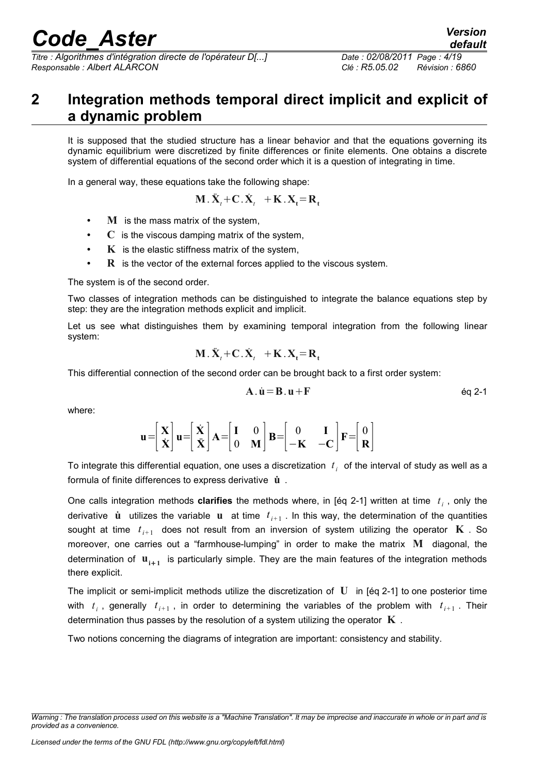*Titre : Algorithmes d'intégration directe de l'opérateur D[...] Date : 02/08/2011 Page : 4/19 Responsable : Albert ALARCON Clé : R5.05.02 Révision : 6860*

### <span id="page-3-0"></span>**2 Integration methods temporal direct implicit and explicit of a dynamic problem**

It is supposed that the studied structure has a linear behavior and that the equations governing its dynamic equilibrium were discretized by finite differences or finite elements. One obtains a discrete system of differential equations of the second order which it is a question of integrating in time.

In a general way, these equations take the following shape:

$$
\mathbf{M} \cdot \ddot{\mathbf{X}}_t + \mathbf{C} \cdot \dot{\mathbf{X}}_t + \mathbf{K} \cdot \mathbf{X}_t = \mathbf{R}_t
$$

- **M** is the mass matrix of the system,
- **C** is the viscous damping matrix of the system,
- **K** is the elastic stiffness matrix of the system,
- **R** is the vector of the external forces applied to the viscous system.

The system is of the second order.

Two classes of integration methods can be distinguished to integrate the balance equations step by step: they are the integration methods explicit and implicit.

Let us see what distinguishes them by examining temporal integration from the following linear system:

$$
\mathbf{M}.\ddot{\mathbf{X}}_t + \mathbf{C}.\dot{\mathbf{X}}_t + \mathbf{K}.\mathbf{X}_t = \mathbf{R}_t
$$

This differential connection of the second order can be brought back to a first order system:

$$
A \cdot \dot{u} = B \cdot u + F \qquad \qquad \text{Eq 2-1}
$$

where:

$$
\mathbf{u} = \begin{bmatrix} \mathbf{X} \\ \dot{\mathbf{X}} \end{bmatrix} \mathbf{u} = \begin{bmatrix} \dot{\mathbf{X}} \\ \dot{\mathbf{X}} \end{bmatrix} \mathbf{A} = \begin{bmatrix} \mathbf{I} & 0 \\ 0 & \mathbf{M} \end{bmatrix} \mathbf{B} = \begin{bmatrix} 0 & \mathbf{I} \\ -\mathbf{K} & -\mathbf{C} \end{bmatrix} \mathbf{F} = \begin{bmatrix} 0 \\ \mathbf{R} \end{bmatrix}
$$

To integrate this differential equation, one uses a discretization  $|t_i|$  of the interval of study as well as a formula of finite differences to express derivative **u**˙ .

One calls integration methods **clarifies** the methods where, in [éq 2-1] written at time *t i* , only the derivative  $\dot{\bf u}$  utilizes the variable  ${\bf u}$  at time  $t_{i+1}$  . In this way, the determination of the quantities sought at time  $t_{i+1}$  does not result from an inversion of system utilizing the operator  $\mathbf K$  . So moreover, one carries out a "farmhouse-lumping" in order to make the matrix **M** diagonal, the determination of  $\mathbf{u}_{i+1}$  is particularly simple. They are the main features of the integration methods there explicit.

The implicit or semi-implicit methods utilize the discretization of **U** in [éq 2-1] to one posterior time with  $t_i$ , generally  $t_{i+1}$ , in order to determining the variables of the problem with  $t_{i+1}$ . Their determination thus passes by the resolution of a system utilizing the operator **K** .

Two notions concerning the diagrams of integration are important: consistency and stability.

*Warning : The translation process used on this website is a "Machine Translation". It may be imprecise and inaccurate in whole or in part and is provided as a convenience.*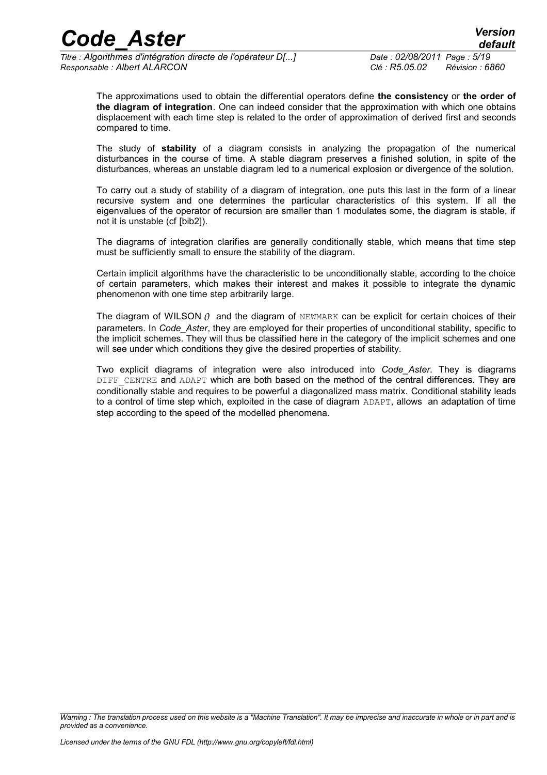*Titre : Algorithmes d'intégration directe de l'opérateur D[...] Date : 02/08/2011 Page : 5/19 Responsable : Albert ALARCON Clé : R5.05.02 Révision : 6860*

*default*

The approximations used to obtain the differential operators define **the consistency** or **the order of the diagram of integration**. One can indeed consider that the approximation with which one obtains displacement with each time step is related to the order of approximation of derived first and seconds compared to time.

The study of **stability** of a diagram consists in analyzing the propagation of the numerical disturbances in the course of time. A stable diagram preserves a finished solution, in spite of the disturbances, whereas an unstable diagram led to a numerical explosion or divergence of the solution.

To carry out a study of stability of a diagram of integration, one puts this last in the form of a linear recursive system and one determines the particular characteristics of this system. If all the eigenvalues of the operator of recursion are smaller than 1 modulates some, the diagram is stable, if not it is unstable (cf [bib2]).

The diagrams of integration clarifies are generally conditionally stable, which means that time step must be sufficiently small to ensure the stability of the diagram.

Certain implicit algorithms have the characteristic to be unconditionally stable, according to the choice of certain parameters, which makes their interest and makes it possible to integrate the dynamic phenomenon with one time step arbitrarily large.

The diagram of WILSON  $\theta$  and the diagram of NEWMARK can be explicit for certain choices of their parameters. In *Code\_Aster*, they are employed for their properties of unconditional stability, specific to the implicit schemes. They will thus be classified here in the category of the implicit schemes and one will see under which conditions they give the desired properties of stability.

Two explicit diagrams of integration were also introduced into *Code\_Aster*. They is diagrams DIFF CENTRE and ADAPT which are both based on the method of the central differences. They are conditionally stable and requires to be powerful a diagonalized mass matrix. Conditional stability leads to a control of time step which, exploited in the case of diagram ADAPT, allows an adaptation of time step according to the speed of the modelled phenomena.

*Warning : The translation process used on this website is a "Machine Translation". It may be imprecise and inaccurate in whole or in part and is provided as a convenience.*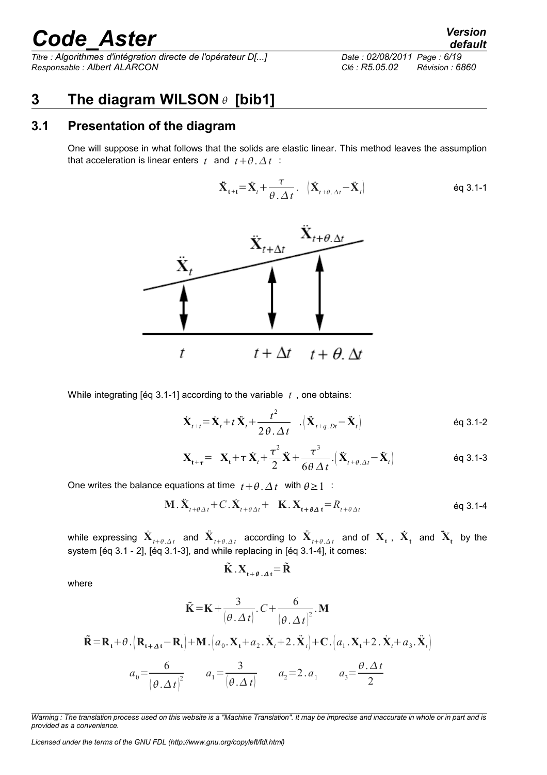*Titre : Algorithmes d'intégration directe de l'opérateur D[...] Responsable : Albert ALARCON Clé : R5.05.02 Révision : 6860*

|                             | ------          |
|-----------------------------|-----------------|
| Date: 02/08/2011 Page: 6/19 |                 |
| Clé : R5.05.02              | Révision : 6860 |

#### <span id="page-5-1"></span>**3 The diagram WILSON [bib1]**

#### **3.1 Presentation of the diagram**

<span id="page-5-0"></span>One will suppose in what follows that the solids are elastic linear. This method leaves the assumption that acceleration is linear enters  $t$  and  $t + \theta \Delta t$  :

$$
\ddot{\mathbf{X}}_{t+t} = \ddot{\mathbf{X}}_t + \frac{\tau}{\theta \cdot \Delta t} \cdot \left( \ddot{\mathbf{X}}_{t+\theta \cdot \Delta t} - \ddot{\mathbf{X}}_t \right)
$$



While integrating [éq 3.1-1] according to the variable *t* , one obtains:

$$
\dot{\mathbf{X}}_{t+t} = \dot{\mathbf{X}}_t + t \, \ddot{\mathbf{X}}_t + \frac{t^2}{2\theta \cdot \Delta t} \quad \left( \ddot{\mathbf{X}}_{t+q, Dt} - \ddot{\mathbf{X}}_t \right) \tag{6q 3.1-2}
$$

$$
\mathbf{X}_{t+\tau} = \mathbf{X}_t + \tau \dot{\mathbf{X}}_t + \frac{\tau^2}{2} \ddot{\mathbf{X}} + \frac{\tau^3}{6\theta \Delta t} \left( \ddot{\mathbf{X}}_{t+\theta,\Delta t} - \ddot{\mathbf{X}}_t \right) \tag{6q 3.1-3}
$$

One writes the balance equations at time  $t + \theta$ .  $\Delta t$  with  $\theta \ge 1$ .

$$
\mathbf{M} \cdot \ddot{\mathbf{X}}_{t+\theta\Delta t} + C \cdot \dot{\mathbf{X}}_{t+\theta\Delta t} + \mathbf{K} \cdot \mathbf{X}_{t+\theta\Delta t} = R_{t+\theta\Delta t} \tag{6q 3.1-4}
$$

while expressing  $\dot{\bf X}_{t+\theta, \Delta t}$  and  $\ddot{\bf X}_{t+\theta, \Delta t}$  according to  $\ddot{\bf X}_{t+\theta, \Delta t}$  and of  ${\bf X}_{\bf t}$  ,  $\dot{\bf X}_{\bf t}$  and  $\ddot{\bf X}_{\bf t}$  by the system [éq 3.1 - 2], [éq 3.1-3], and while replacing in [éq 3.1-4], it comes:

$$
\tilde{\mathbf{K}} \cdot \mathbf{X}_{t+\theta \cdot \Delta t} = \tilde{\mathbf{R}}
$$

where

$$
\tilde{\mathbf{K}} = \mathbf{K} + \frac{3}{(\theta \cdot \Delta t)} \cdot C + \frac{6}{(\theta \cdot \Delta t)^2} \cdot \mathbf{M}
$$
\n
$$
\tilde{\mathbf{R}} = \mathbf{R}_t + \theta \cdot \left( \mathbf{R}_{t + \Delta t} - \mathbf{R}_t \right) + \mathbf{M} \cdot \left( a_0 \cdot \mathbf{X}_t + a_2 \cdot \dot{\mathbf{X}}_t + 2 \cdot \dot{\mathbf{X}}_t \right) + \mathbf{C} \cdot \left( a_1 \cdot \mathbf{X}_t + 2 \cdot \dot{\mathbf{X}}_t + a_3 \cdot \dot{\mathbf{X}}_t \right)
$$
\n
$$
a_0 = \frac{6}{\left( \theta \cdot \Delta t \right)^2} \qquad a_1 = \frac{3}{\left( \theta \cdot \Delta t \right)} \qquad a_2 = 2 \cdot a_1 \qquad a_3 = \frac{\theta \cdot \Delta t}{2}
$$

*Licensed under the terms of the GNU FDL (http://www.gnu.org/copyleft/fdl.html)*

*default*

*Warning : The translation process used on this website is a "Machine Translation". It may be imprecise and inaccurate in whole or in part and is provided as a convenience.*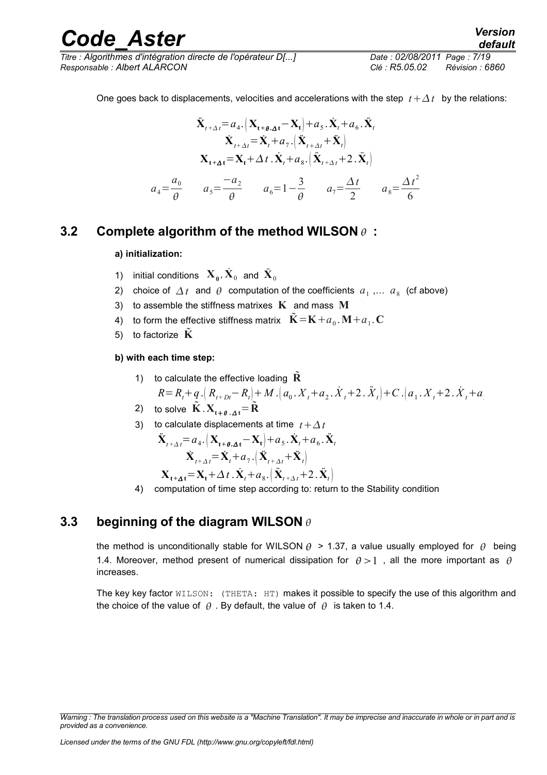*Titre : Algorithmes d'intégration directe de l'opérateur D[...] Date : 02/08/2011 Page : 7/19 Responsable : Albert ALARCON Clé : R5.05.02 Révision : 6860*

$$
\ddot{\mathbf{X}}_{t+\Delta t} = a_4 \cdot \left( \mathbf{X}_{t+\theta, \Delta t} - \mathbf{X}_t \right) + a_5 \cdot \dot{\mathbf{X}}_t + a_6 \cdot \ddot{\mathbf{X}}_t
$$
\n
$$
\dot{\mathbf{X}}_{t+\Delta t} = \dot{\mathbf{X}}_t + a_7 \cdot \left( \ddot{\mathbf{X}}_{t+\Delta t} + \ddot{\mathbf{X}}_t \right)
$$
\n
$$
\mathbf{X}_{t+\Delta t} = \mathbf{X}_t + \Delta t \cdot \dot{\mathbf{X}}_t + a_8 \cdot \left( \ddot{\mathbf{X}}_{t+\Delta t} + 2 \cdot \ddot{\mathbf{X}}_t \right)
$$
\n
$$
a_4 = \frac{a_0}{\theta} \qquad a_5 = \frac{-a_2}{\theta} \qquad a_6 = 1 - \frac{3}{\theta} \qquad a_7 = \frac{\Delta t}{2} \qquad a_8 = \frac{\Delta t^2}{6}
$$

#### **3.2 Complete algorithm of the method WILSON :**

#### <span id="page-6-1"></span>**a) initialization:**

- 1) initial conditions  $\mathbf{X}_0, \dot{\mathbf{X}}_0$  and  $\ddot{\mathbf{X}}_0$
- 2) choice of  $\Delta t$  and  $\theta$  computation of the coefficients  $a_1$ ,...  $a_8$  (cf above)
- 3) to assemble the stiffness matrixes **K** and mass **M**
- 4) to form the effective stiffness matrix  $\tilde{\mathbf{K}} = \mathbf{K} + a_0$  .  $\mathbf{M} + a_1$  .  $\mathbf{C}$
- 5) to factorize **K**

#### **b) with each time step:**

1) to calculate the effective loading 
$$
\tilde{\mathbf{R}}
$$
  
\n
$$
R = R_t + q \left(R_{t+Dt} - R_t\right) + M \left(a_0 \cdot X_t + a_2 \cdot \dot{X}_t + 2 \cdot \ddot{X}_t\right) + C \left(a_1 \cdot X_t + 2 \cdot \dot{X}_t + a_0\right)
$$

2) to solve  $\mathbf{K} \cdot \mathbf{X}_{t+\theta, \Delta t} = \mathbf{R}$ 

3) to calculate displacements at time 
$$
t + \Delta t
$$
  
\n
$$
\ddot{\mathbf{X}}_{t+\Delta t} = a_4 \cdot (\mathbf{X}_{t+\theta,\Delta t} - \mathbf{X}_t) + a_5 \cdot \dot{\mathbf{X}}_t + a_6 \cdot \dot{\mathbf{X}}_t
$$
\n
$$
\dot{\mathbf{X}}_{t+\Delta t} = \dot{\mathbf{X}}_t + a_7 \cdot (\dot{\mathbf{X}}_{t+\Delta t} + \ddot{\mathbf{X}}_t)
$$
\n
$$
\mathbf{X}_{t+\Delta t} = \mathbf{X}_t + \Delta t \cdot \dot{\mathbf{X}}_t + a_8 \cdot (\ddot{\mathbf{X}}_{t+\Delta t} + 2 \cdot \ddot{\mathbf{X}}_t)
$$

4) computation of time step according to: return to the Stability condition

#### **3.3 beginning of the diagram WILSON**

<span id="page-6-0"></span>the method is unconditionally stable for WILSON  $\theta$  > 1.37, a value usually employed for  $\theta$  being 1.4. Moreover, method present of numerical dissipation for  $\theta > 1$ , all the more important as  $\theta$ increases.

The key key factor WILSON: (THETA: HT) makes it possible to specify the use of this algorithm and the choice of the value of  $\theta$ . By default, the value of  $\theta$  is taken to 1.4.

*Warning : The translation process used on this website is a "Machine Translation". It may be imprecise and inaccurate in whole or in part and is provided as a convenience.*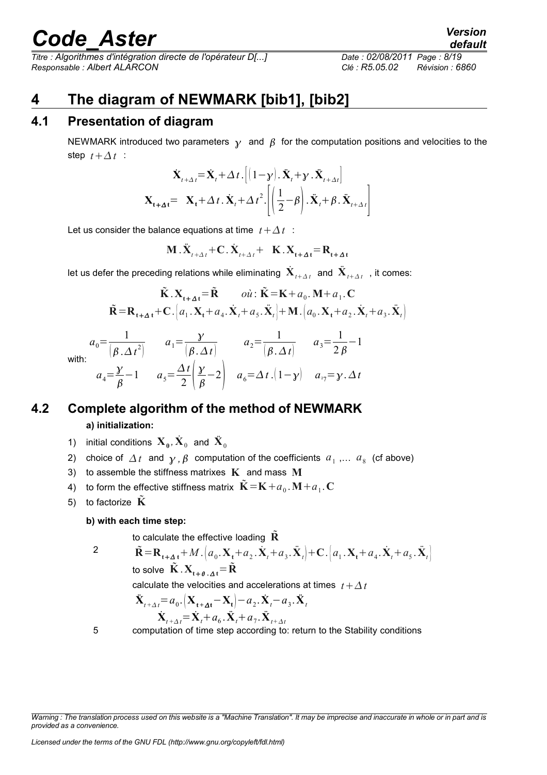*Titre : Algorithmes d'intégration directe de l'opérateur D[...] Date : 02/08/2011 Page : 8/19 Responsable : Albert ALARCON Clé : R5.05.02 Révision : 6860*

#### <span id="page-7-2"></span>**4 The diagram of NEWMARK [bib1], [bib2]**

#### **4.1 Presentation of diagram**

<span id="page-7-1"></span>NEWMARK introduced two parameters  $\gamma$  and  $\beta$  for the computation positions and velocities to the step  $t + \Delta t$ :

$$
\dot{\mathbf{X}}_{t+\Delta t} = \dot{\mathbf{X}}_t + \Delta t \cdot \left[ (1 - \mathbf{y}) \cdot \ddot{\mathbf{X}}_t + \mathbf{y} \cdot \ddot{\mathbf{X}}_{t+\Delta t} \right]
$$
\n
$$
\mathbf{X}_{t+\Delta t} = \mathbf{X}_t + \Delta t \cdot \dot{\mathbf{X}}_t + \Delta t^2 \cdot \left[ \left( \frac{1}{2} - \beta \right) \cdot \ddot{\mathbf{X}}_t + \beta \cdot \ddot{\mathbf{X}}_{t+\Delta t} \right]
$$

Let us consider the balance equations at time  $t + \Delta t$ :

$$
\mathbf{M} \cdot \ddot{\mathbf{X}}_{t+\Delta t} + \mathbf{C} \cdot \dot{\mathbf{X}}_{t+\Delta t} + \mathbf{K} \cdot \mathbf{X}_{t+\Delta t} = \mathbf{R}_{t+\Delta t}
$$

let us defer the preceding relations while eliminating  $\check{\mathbf{X}}_{_{t+\Delta t}}$  and  $\check{\mathbf{X}}_{_{t+\Delta t}}$  , it comes:

$$
\tilde{\mathbf{K}} \cdot \mathbf{X}_{t+\Delta t} = \tilde{\mathbf{R}} \qquad \text{o} \dot{u} : \tilde{\mathbf{K}} = \mathbf{K} + a_0. \mathbf{M} + a_1. \mathbf{C}
$$
\n
$$
\tilde{\mathbf{R}} = \mathbf{R}_{t+\Delta t} + \mathbf{C} \cdot \left[ a_1. \mathbf{X}_t + a_4. \dot{\mathbf{X}}_t + a_5. \ddot{\mathbf{X}}_t \right] + \mathbf{M} \cdot \left[ a_0. \mathbf{X}_t + a_2. \dot{\mathbf{X}}_t + a_3. \ddot{\mathbf{X}}_t \right]
$$
\n
$$
a_0 = \frac{1}{\left[ \beta \cdot \Delta t^2 \right]} \qquad a_1 = \frac{\gamma}{\left[ \beta \cdot \Delta t \right]} \qquad a_2 = \frac{1}{\left[ \beta \cdot \Delta t \right]} \qquad a_3 = \frac{1}{2\beta} - 1
$$
\n
$$
a_4 = \frac{\gamma}{\beta} - 1 \qquad a_5 = \frac{\Delta t}{2} \left( \frac{\gamma}{\beta} - 2 \right) \qquad a_6 = \Delta t \cdot \left( 1 - \gamma \right) \qquad a_{27} = \gamma \cdot \Delta t
$$

 $\mathbf{v}$ 

#### **4.2 Complete algorithm of the method of NEWMARK a) initialization:**

- <span id="page-7-0"></span>1) initial conditions  $\mathbf{X}_0$ ,  $\mathbf{\dot{X}}_0$  and  $\mathbf{\ddot{X}}_0$
- 2) choice of  $\Delta t$  and  $\gamma$ ,  $\beta$  computation of the coefficients  $a_1$ ,...  $a_8$  (cf above)
- 3) to assemble the stiffness matrixes **K** and mass **M**
- 4) to form the effective stiffness matrix  $\tilde{\mathbf{K}} = \mathbf{K} + a_0 \cdot \mathbf{M} + a_1 \cdot \mathbf{C}$
- 5) to factorize  $\tilde{\mathbf{K}}$

#### **b) with each time step:**

to calculate the effective loading **R**

$$
\tilde{\mathbf{R}} = \mathbf{R}_{t+\Delta t} + M \cdot \left( a_0 \cdot \mathbf{X}_t + a_2 \cdot \dot{\mathbf{X}}_t + a_3 \cdot \ddot{\mathbf{X}}_t \right) + \mathbf{C} \cdot \left[ a_1 \cdot \mathbf{X}_t + a_4 \cdot \dot{\mathbf{X}}_t + a_5 \cdot \ddot{\mathbf{X}}_t \right]
$$
  
to solve  $\tilde{\mathbf{K}} \cdot \mathbf{X}_{t+\theta} \cdot \Delta t = \tilde{\mathbf{R}}$ 

calculate the velocities and accelerations at times  $t + \Delta t$ 

$$
\ddot{\mathbf{X}}_{t+\Delta t} = a_0 \cdot \left( \mathbf{X}_{t+\Delta t} - \mathbf{X}_t \right) - a_2 \cdot \dot{\mathbf{X}}_t - a_3 \cdot \ddot{\mathbf{X}}_t
$$
\n
$$
\dot{\mathbf{X}}_{t+\Delta t} = \dot{\mathbf{X}}_t + a_6 \cdot \ddot{\mathbf{X}}_t + a_7 \cdot \ddot{\mathbf{X}}_{t+\Delta t}
$$

5 computation of time step according to: return to the Stability conditions

*Warning : The translation process used on this website is a "Machine Translation". It may be imprecise and inaccurate in whole or in part and is provided as a convenience.*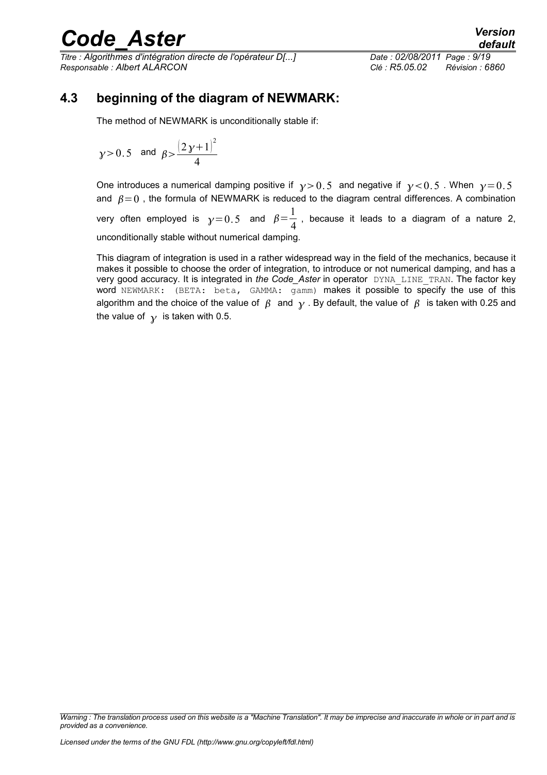*Titre : Algorithmes d'intégration directe de l'opérateur D[...] Date : 02/08/2011 Page : 9/19 Responsable : Albert ALARCON Clé : R5.05.02 Révision : 6860*

#### **4.3 beginning of the diagram of NEWMARK:**

<span id="page-8-0"></span>The method of NEWMARK is unconditionally stable if:

$$
y > 0.5
$$
 and  $\beta > \frac{(2y+1)^2}{4}$ 

One introduces a numerical damping positive if  $y > 0.5$  and negative if  $y < 0.5$ . When  $y = 0.5$ and  $\beta = 0$ . the formula of NEWMARK is reduced to the diagram central differences. A combination

very often employed is  $\gamma\!=\!0.5$  and  $\beta\!=\!{1\over4}$  $\frac{1}{4}$ , because it leads to a diagram of a nature 2, unconditionally stable without numerical damping.

This diagram of integration is used in a rather widespread way in the field of the mechanics, because it makes it possible to choose the order of integration, to introduce or not numerical damping, and has a very good accuracy. It is integrated in *the Code\_Aster* in operator DYNA LINE TRAN. The factor key word NEWMARK: (BETA: beta, GAMMA: gamm) makes it possible to specify the use of this algorithm and the choice of the value of  $\beta$  and  $\gamma$ . By default, the value of  $\beta$  is taken with 0.25 and the value of  $\gamma$  is taken with 0.5.

*Warning : The translation process used on this website is a "Machine Translation". It may be imprecise and inaccurate in whole or in part and is provided as a convenience.*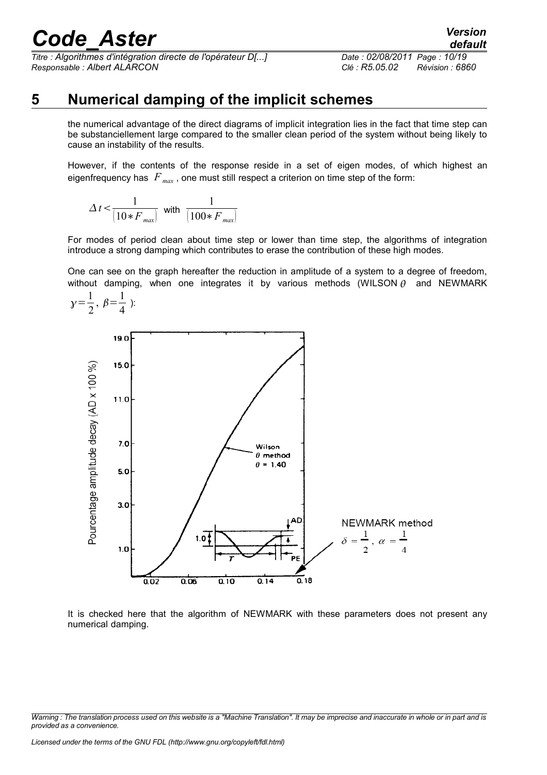*Titre : Algorithmes d'intégration directe de l'opérateur D[...] Date : 02/08/2011 Page : 10/19 Responsable : Albert ALARCON Clé : R5.05.02 Révision : 6860*

### **5 Numerical damping of the implicit schemes**

<span id="page-9-0"></span>the numerical advantage of the direct diagrams of implicit integration lies in the fact that time step can be substanciellement large compared to the smaller clean period of the system without being likely to cause an instability of the results.

However, if the contents of the response reside in a set of eigen modes, of which highest an eigenfrequency has  $F_{\text{max}}$ , one must still respect a criterion on time step of the form:

$$
\varDelta\,t\!<\!\frac{1}{\left(10*F_{\text{max}}\right)}\text{ with }\frac{1}{\left(100*F_{\text{max}}\right)}
$$

For modes of period clean about time step or lower than time step, the algorithms of integration introduce a strong damping which contributes to erase the contribution of these high modes.

One can see on the graph hereafter the reduction in amplitude of a system to a degree of freedom, without damping, when one integrates it by various methods (WILSON  $\theta$  and NEWMARK



It is checked here that the algorithm of NEWMARK with these parameters does not present any numerical damping.

*Warning : The translation process used on this website is a "Machine Translation". It may be imprecise and inaccurate in whole or in part and is provided as a convenience.*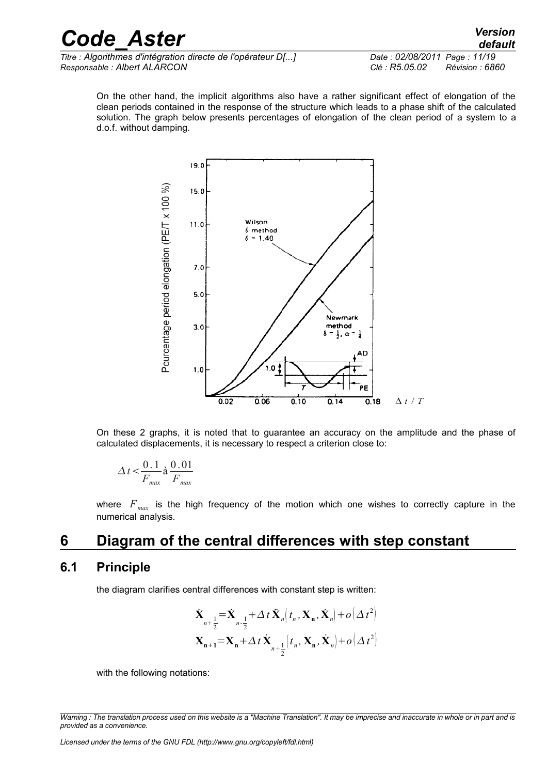On the other hand, the implicit algorithms also have a rather significant effect of elongation of the clean periods contained in the response of the structure which leads to a phase shift of the calculated solution. The graph below presents percentages of elongation of the clean period of a system to a d.o.f. without damping.



On these 2 graphs, it is noted that to guarantee an accuracy on the amplitude and the phase of calculated displacements, it is necessary to respect a criterion close to:

$$
\Delta t \leq \frac{0.1}{F_{\text{max}}} \text{à } \frac{0.01}{F_{\text{max}}}
$$

<span id="page-10-1"></span>where  $F_{\text{max}}$  is the high frequency of the motion which one wishes to correctly capture in the numerical analysis.

#### **6 Diagram of the central differences with step constant**

#### **6.1 Principle**

<span id="page-10-0"></span>the diagram clarifies central differences with constant step is written:

$$
\dot{\mathbf{X}}_{n+\frac{1}{2}} = \dot{\mathbf{X}}_{n-\frac{1}{2}} + \Delta t \, \ddot{\mathbf{X}}_{n} \left( t_{n}, \mathbf{X}_{n}, \dot{\mathbf{X}}_{n} \right) + o \left( \Delta t^{2} \right)
$$
\n
$$
\mathbf{X}_{n+1} = \mathbf{X}_{n} + \Delta t \, \dot{\mathbf{X}}_{n+\frac{1}{2}} \left( t_{n}, \mathbf{X}_{n}, \dot{\mathbf{X}}_{n} \right) + o \left( \Delta t^{2} \right)
$$

with the following notations:

*Warning : The translation process used on this website is a "Machine Translation". It may be imprecise and inaccurate in whole or in part and is provided as a convenience.*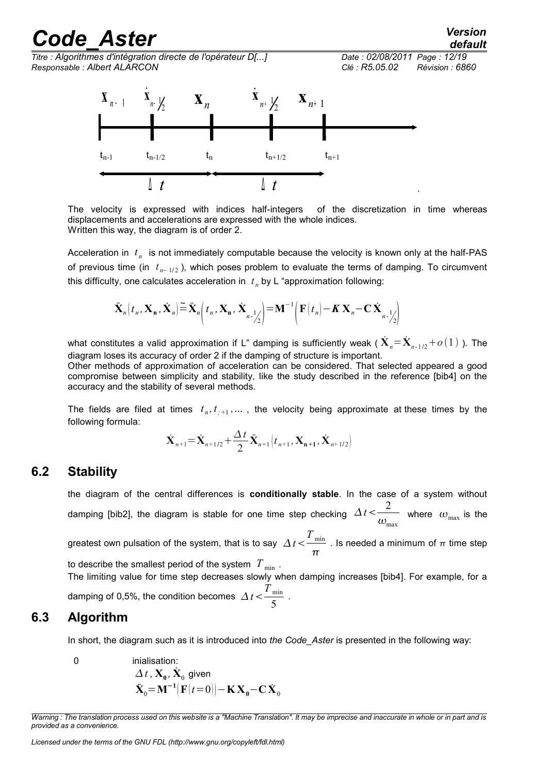*Code\_Aster Version default Titre : Algorithmes d'intégration directe de l'opérateur D[...] Date : 02/08/2011 Page : 12/19 Responsable : Albert ALARCON Clé : R5.05.02 Révision : 6860*  $t_{n-1}$   $t_{n-1/2}$   $t_n$   $t_{n+1/2}$   $t_{n+1}$  $\mathbf{X}_{n-\frac{1}{2}}$ <sup>∆</sup> *t* <sup>∆</sup> *t*  $\mathbf{X}_{n-1}$  $\sum_{n+1}^{n} \frac{1}{2^n}$ **x***n* **x***<sup>n</sup>*<sup>+</sup> <sup>1</sup> .

The velocity is expressed with indices half-integers of the discretization in time whereas displacements and accelerations are expressed with the whole indices. Written this way, the diagram is of order 2.

Acceleration in  $t_n$  is not immediately computable because the velocity is known only at the half-PAS of previous time (in  $t_{n-1/2}$ ), which poses problem to evaluate the terms of damping. To circumvent this difficulty, one calculates acceleration in  $t_n$  by L "approximation following:

$$
\ddot{\mathbf{X}}_n(t_n, \mathbf{X}_n, \dot{\mathbf{X}}_n) \stackrel{\sim}{=} \ddot{\mathbf{X}}_n(t_n, \mathbf{X}_n, \dot{\mathbf{X}}_{n-1/2}) = \mathbf{M}^{-1} \left( \mathbf{F}(t_n) - \mathbf{K} \mathbf{X}_n - \mathbf{C} \dot{\mathbf{X}}_{n-1/2} \right)
$$

what constitutes a valid approximation if L" damping is sufficiently weak (  $\dot{\bf X}_n\! =\! \dot{\bf X}_{n-1/2} \!+\! o(1)$  ). The diagram loses its accuracy of order 2 if the damping of structure is important.

Other methods of approximation of acceleration can be considered. That selected appeared a good compromise between simplicity and stability, like the study described in the reference [bib4] on the accuracy and the stability of several methods.

The fields are filed at times  $t_n, t_{n+1}, \ldots$ , the velocity being approximate at these times by the following formula:

$$
\dot{\mathbf{X}}_{n+1} = \dot{\mathbf{X}}_{n+1/2} + \frac{\Delta t}{2} \ddot{\mathbf{X}}_{n+1} \left( t_{n+1}, \mathbf{X}_{n+1}, \dot{\mathbf{X}}_{n+1/2} \right)
$$

#### **6.2 Stability**

<span id="page-11-1"></span>the diagram of the central differences is **conditionally stable**. In the case of a system without damping [bib2], the diagram is stable for one time step checking  $\Delta t < \frac{2}{\epsilon}$  $\overline{\omega_{\text{max}}}$  where  $\omega_{\text{max}}$  is the greatest own pulsation of the system, that is to say  $\;\Delta\,t\!<\!\frac{T_{\mathrm{min}}}{T_{\mathrm{min}}}\;$  $\pi$ . Is needed a minimum of  $\pi$  time step

to describe the smallest period of the system  $T_{\min}$ .

The limiting value for time step decreases slowly when damping increases [bib4]. For example, for a damping of 0,5%, the condition becomes  $\Delta t < \frac{T_{\text{min}}}{\epsilon}$  $rac{\text{min}}{5}$ .

#### **6.3 Algorithm**

<span id="page-11-0"></span>In short, the diagram such as it is introduced into *the Code\_Aster* is presented in the following way:

0  
inialisation:  

$$
\Delta t
$$
,  $\dot{\mathbf{X}}_0$ ,  $\dot{\mathbf{X}}_0$  given  
 $\ddot{\mathbf{X}}_0 = \mathbf{M}^{-1} [\mathbf{F}(t=0)] - \mathbf{K} \mathbf{X}_0 - \mathbf{C} \dot{\mathbf{X}}_0$ 

*Warning : The translation process used on this website is a "Machine Translation". It may be imprecise and inaccurate in whole or in part and is provided as a convenience.*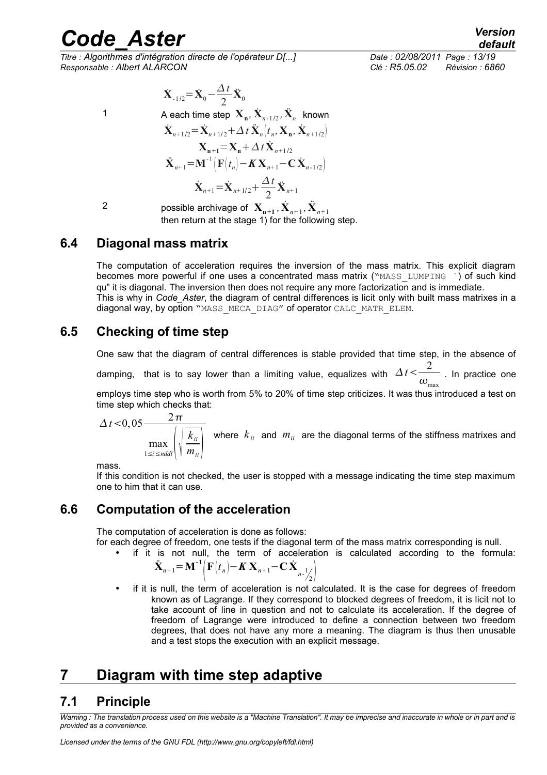*Titre : Algorithmes d'intégration directe de l'opérateur D[...] Date : 02/08/2011 Page : 13/19 Responsable : Albert ALARCON Clé : R5.05.02 Révision : 6860*

$$
\dot{\mathbf{X}}_{-1/2} = \dot{\mathbf{X}}_0 - \frac{\Delta t}{2} \ddot{\mathbf{X}}_0
$$

1 A each time step  $\mathbf{X}_n$ ,  $\mathbf{X}_{n-1/2}$ ,  $\mathbf{X}_n$  known

$$
\dot{\mathbf{X}}_{n+1/2} = \dot{\mathbf{X}}_{n+1/2} + \Delta t \, \ddot{\mathbf{X}}_{n} \left( t_{n}, \mathbf{X}_{n}, \dot{\mathbf{X}}_{n+1/2} \right) \n\mathbf{X}_{n+1} = \mathbf{X}_{n} + \Delta t \, \dot{\mathbf{X}}_{n+1/2} \n\ddot{\mathbf{X}}_{n+1} = \mathbf{M}^{-1} \left( \mathbf{F}(t_{n}) - K \, \mathbf{X}_{n+1} - \mathbf{C} \, \dot{\mathbf{X}}_{n+1/2} \right) \n\dot{\mathbf{X}}_{n+1} = \dot{\mathbf{X}}_{n+1/2} + \frac{\Delta t}{2} \, \ddot{\mathbf{X}}_{n+1}
$$

2 possible archivage of  $\mathbf{X_{n+1}}$  ,  $\dot{\mathbf{X}}_{n+1}$  ,  $\ddot{\mathbf{X}}_{n+1}$ then return at the stage 1) for the following step.

#### **6.4 Diagonal mass matrix**

<span id="page-12-4"></span>The computation of acceleration requires the inversion of the mass matrix. This explicit diagram becomes more powerful if one uses a concentrated mass matrix ("MASS\_LUMPING `) of such kind qu" it is diagonal. The inversion then does not require any more factorization and is immediate. This is why in *Code* Aster, the diagram of central differences is licit only with built mass matrixes in a diagonal way, by option "MASS\_MECA\_DIAG" of operator CALC\_MATR\_ELEM.

#### **6.5 Checking of time step**

<span id="page-12-3"></span>One saw that the diagram of central differences is stable provided that time step, in the absence of damping, that is to say lower than a limiting value, equalizes with  $\Delta t\!<\!\!-\!\!2$  $\overline{\omega_{\textrm{\tiny max}}}$  . In practice one

employs time step who is worth from 5% to 20% of time step criticizes. It was thus introduced a test on time step which checks that:

$$
\Delta t < 0, 05 \frac{2\pi}{\max\limits_{1 \le i \le n d d l} \left(\sqrt{\frac{k_{ii}}{m_{ii}}}\right)}
$$
 where  $k_{ii}$  and  $m_{ii}$  are the diagonal terms of the stiffness matrices and

mass.

If this condition is not checked, the user is stopped with a message indicating the time step maximum one to him that it can use.

#### **6.6 Computation of the acceleration**

<span id="page-12-2"></span>The computation of acceleration is done as follows:

for each degree of freedom, one tests if the diagonal term of the mass matrix corresponding is null.

if it is not null, the term of acceleration is calculated according to the formula:

$$
\ddot{\mathbf{X}}_{n+1} = \mathbf{M}^{-1} \Big( \mathbf{F} \big( t_n \big) - \mathbf{K} \mathbf{X}_{n+1} - \mathbf{C} \dot{\mathbf{X}} \Big|_{n-\frac{1}{2}} \Big)
$$

if it is null, the term of acceleration is not calculated. It is the case for degrees of freedom known as of Lagrange. If they correspond to blocked degrees of freedom, it is licit not to take account of line in question and not to calculate its acceleration. If the degree of freedom of Lagrange were introduced to define a connection between two freedom degrees, that does not have any more a meaning. The diagram is thus then unusable and a test stops the execution with an explicit message.

### <span id="page-12-1"></span>**7 Diagram with time step adaptive**

#### <span id="page-12-0"></span>**7.1 Principle**

*Warning : The translation process used on this website is a "Machine Translation". It may be imprecise and inaccurate in whole or in part and is provided as a convenience.*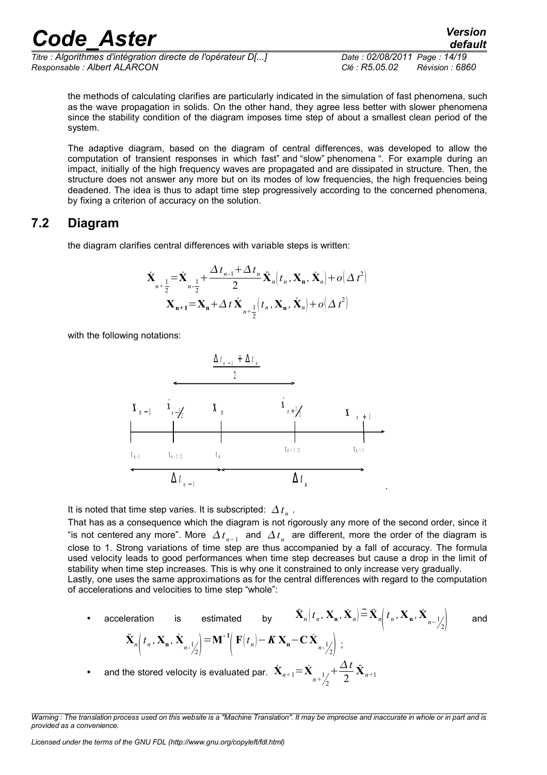*Titre : Algorithmes d'intégration directe de l'opérateur D[...] Date : 02/08/2011 Page : 14/19 Responsable : Albert ALARCON Clé : R5.05.02 Révision : 6860*

*default*

the methods of calculating clarifies are particularly indicated in the simulation of fast phenomena, such as the wave propagation in solids. On the other hand, they agree less better with slower phenomena since the stability condition of the diagram imposes time step of about a smallest clean period of the system.

The adaptive diagram, based on the diagram of central differences, was developed to allow the computation of transient responses in which fast" and "slow" phenomena ". For example during an impact, initially of the high frequency waves are propagated and are dissipated in structure. Then, the structure does not answer any more but on its modes of low frequencies, the high frequencies being deadened. The idea is thus to adapt time step progressively according to the concerned phenomena, by fixing a criterion of accuracy on the solution.

#### **7.2 Diagram**

<span id="page-13-0"></span>the diagram clarifies central differences with variable steps is written:

$$
\dot{\mathbf{X}}_{n+\frac{1}{2}} = \dot{\mathbf{X}}_{n-\frac{1}{2}} + \frac{\Delta t_{n-1} + \Delta t_n}{2} \ddot{\mathbf{X}}_n(t_n, \mathbf{X}_n, \dot{\mathbf{X}}_n) + o(\Delta t^2)
$$
\n
$$
\mathbf{X}_{n+1} = \mathbf{X}_n + \Delta t \dot{\mathbf{X}}_{n+\frac{1}{2}}(t_n, \mathbf{X}_n, \dot{\mathbf{X}}_n) + o(\Delta t^2)
$$

with the following notations:



It is noted that time step varies. It is subscripted:  $\Delta t_n$ .

That has as a consequence which the diagram is not rigorously any more of the second order, since it "is not centered any more". More  $\Delta t_{n-1}$  and  $\Delta t_n$  are different, more the order of the diagram is close to 1. Strong variations of time step are thus accompanied by a fall of accuracy. The formula used velocity leads to good performances when time step decreases but cause a drop in the limit of stability when time step increases. This is why one it constrained to only increase very gradually. Lastly, one uses the same approximations as for the central differences with regard to the computation of accelerations and velocities to time step "whole":

• acceleration is estimated by  $\ddot{\mathbf{X}}_n(t_n, \mathbf{X}_n, \dot{\mathbf{X}}_n) \stackrel{\sim}{=} \ddot{\mathbf{X}}$  $n\left(t_n, \mathbf{X}_n, \mathbf{X}_n\right)$  and **X**¨  $n\left(t_n, \mathbf{X}_n, \mathbf{X}_{n-1/2}\right) =$  $=M^{-1}$  $\vert$  ${\bf F}(t_n)$  –  ${\bf K} {\bf X}_n$  –  ${\bf C} {\bf X}_{n-1/2}$  ; • and the stored velocity is evaluated par.  $\dot{\mathbf{X}}_{n+1} = \dot{\mathbf{X}}_{n+1}$  $+\frac{\Delta t}{2}$ 2  $\ddot{\mathbf{X}}_{n+1}$ 

2

*Warning : The translation process used on this website is a "Machine Translation". It may be imprecise and inaccurate in whole or in part and is provided as a convenience.*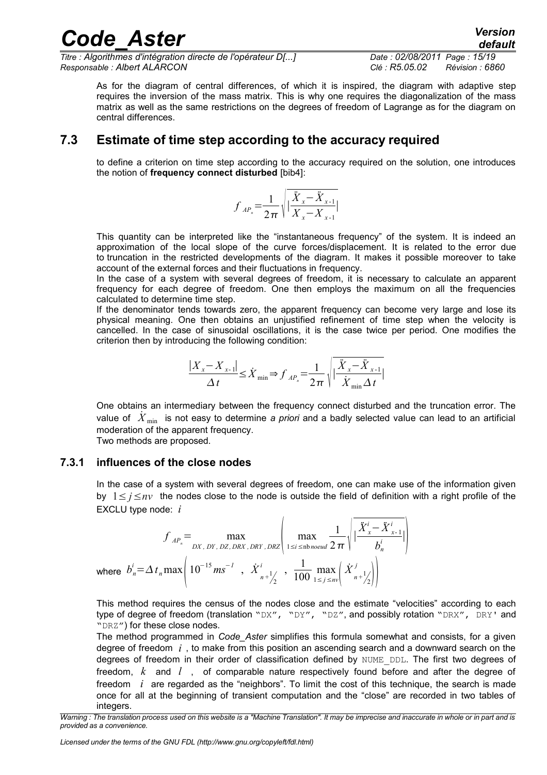*Titre : Algorithmes d'intégration directe de l'opérateur D[...] Date : 02/08/2011 Page : 15/19 Responsable : Albert ALARCON Clé : R5.05.02 Révision : 6860*

As for the diagram of central differences, of which it is inspired, the diagram with adaptive step requires the inversion of the mass matrix. This is why one requires the diagonalization of the mass matrix as well as the same restrictions on the degrees of freedom of Lagrange as for the diagram on central differences.

#### **7.3 Estimate of time step according to the accuracy required**

<span id="page-14-1"></span>to define a criterion on time step according to the accuracy required on the solution, one introduces the notion of **frequency connect disturbed** [bib4]:

$$
f_{AP_n} = \frac{1}{2\pi} \sqrt{\left| \frac{\ddot{X}_x - \ddot{X}_{x-1}}{X_x - X_{x-1}} \right|}
$$

This quantity can be interpreted like the "instantaneous frequency" of the system. It is indeed an approximation of the local slope of the curve forces/displacement. It is related to the error due to truncation in the restricted developments of the diagram. It makes it possible moreover to take account of the external forces and their fluctuations in frequency.

In the case of a system with several degrees of freedom, it is necessary to calculate an apparent frequency for each degree of freedom. One then employs the maximum on all the frequencies calculated to determine time step.

If the denominator tends towards zero, the apparent frequency can become very large and lose its physical meaning. One then obtains an unjustified refinement of time step when the velocity is cancelled. In the case of sinusoidal oscillations, it is the case twice per period. One modifies the criterion then by introducing the following condition:

$$
\frac{|X_x - X_{x-1}|}{\Delta t} \leq \dot{X}_{\min} \Rightarrow f_{AP_n} = \frac{1}{2\pi} \sqrt{\frac{\ddot{X}_x - \ddot{X}_{x-1}}{\dot{X}_{\min} \Delta t}}
$$

One obtains an intermediary between the frequency connect disturbed and the truncation error. The value of *X*˙ min is not easy to determine *a priori* and a badly selected value can lead to an artificial moderation of the apparent frequency.

<span id="page-14-0"></span>Two methods are proposed.

#### **7.3.1 influences of the close nodes**

In the case of a system with several degrees of freedom, one can make use of the information given by 1≤ *j*≤*nv* the nodes close to the node is outside the field of definition with a right profile of the EXCLU type node: *i*

$$
f_{AP_n} = \max_{DX, DY, DX, DRY, DRY, DRY, DRY} \left( \max_{1 \le i \le \text{nb} \text{ need}} \frac{1}{2\pi} \sqrt{\frac{\ddot{X}_x^i - \ddot{X}_{x-1}^i}{b_n^i}} \right)
$$
  
where  $b_n^i = \Delta t_n \max \left( 10^{-15} m s^{-1}, \dot{X}_{n+\frac{1}{2}}^i, \frac{1}{100} \max_{1 \le j \le nv} \left( \dot{X}_{n+\frac{1}{2}}^j \right) \right)$ 

This method requires the census of the nodes close and the estimate "velocities" according to each type of degree of freedom (translation "DX", "DY", "DZ", and possibly rotation "DRX", DRY' and "DRZ") for these close nodes.

The method programmed in *Code\_Aster* simplifies this formula somewhat and consists, for a given degree of freedom *i* , to make from this position an ascending search and a downward search on the degrees of freedom in their order of classification defined by NUME\_DDL. The first two degrees of freedom, *k* and *l* , of comparable nature respectively found before and after the degree of freedom *i* are regarded as the "neighbors". To limit the cost of this technique, the search is made once for all at the beginning of transient computation and the "close" are recorded in two tables of integers.

*Licensed under the terms of the GNU FDL (http://www.gnu.org/copyleft/fdl.html)*

*Warning : The translation process used on this website is a "Machine Translation". It may be imprecise and inaccurate in whole or in part and is provided as a convenience.*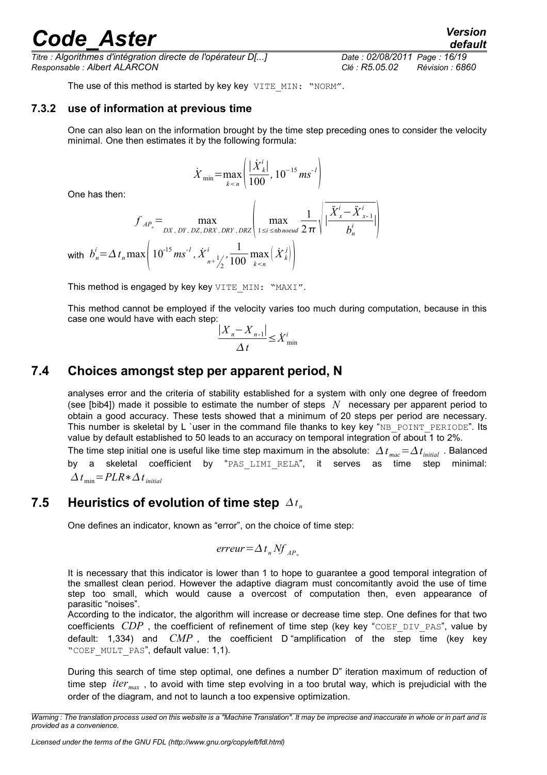*Titre : Algorithmes d'intégration directe de l'opérateur D[...] Date : 02/08/2011 Page : 16/19 Responsable : Albert ALARCON Clé : R5.05.02 Révision : 6860*

<span id="page-15-2"></span>The use of this method is started by key key VITE MIN: "NORM".

#### **7.3.2 use of information at previous time**

One can also lean on the information brought by the time step preceding ones to consider the velocity minimal. One then estimates it by the following formula:

$$
\dot{X}_{\min} = \max_{k < n} \left( \frac{|\dot{X}_k^i|}{100}, 10^{-15} \, \text{ms}^{-1} \right)
$$

One has then:

$$
f_{AP_n} = \max_{DX, DY, DX, DEX, DRY, DRY} \left( \max_{1 \le i \le \text{nb} \text{ novel}} \frac{1}{2 \pi} \sqrt{\frac{\ddot{X}_x^i - \ddot{X}_{x-1}^i}{b_n^i}} \right)
$$
  
with  $b_n^i = \Delta t_n \max \left( 10^{-15} m s^{-1}, \dot{X}_{n+\frac{1}{2}}^i, \frac{1}{100} \max_{k < n} \left( \dot{X}_k^j \right) \right)$ 

2

This method is engaged by key key VITE\_MIN: "MAXI".

This method cannot be employed if the velocity varies too much during computation, because in this case one would have with each step:

$$
\frac{|X_n - X_{n-1}|}{\Delta t} \leq \dot{X}_{\min}^i
$$

#### **7.4 Choices amongst step per apparent period, N**

<span id="page-15-1"></span>analyses error and the criteria of stability established for a system with only one degree of freedom (see [bib4]) made it possible to estimate the number of steps *N* necessary per apparent period to obtain a good accuracy. These tests showed that a minimum of 20 steps per period are necessary. This number is skeletal by L 'user in the command file thanks to key key "NB\_POINT\_PERIODE". Its value by default established to 50 leads to an accuracy on temporal integration of about 1 to 2%.

The time step initial one is useful like time step maximum in the absolute:  $\varDelta$  *t*  $_{mac}$  =  $\varDelta$  *t<sub>initial</sub>* . Balanced by a skeletal coefficient by "PAS\_LIMI\_RELA", it serves as time step minimal:  $\Delta t$ <sub>min</sub> = *PLR*  $\ast$   $\Delta t$ <sub>*initial*</sub>

#### **7.5 Heuristics of evolution of time step**  $\varDelta t_n$

<span id="page-15-0"></span>One defines an indicator, known as "error", on the choice of time step:

$$
erreur = \Delta t_n Nf_{AP_n}
$$

It is necessary that this indicator is lower than 1 to hope to guarantee a good temporal integration of the smallest clean period. However the adaptive diagram must concomitantly avoid the use of time step too small, which would cause a overcost of computation then, even appearance of parasitic "noises".

According to the indicator, the algorithm will increase or decrease time step. One defines for that two coefficients *CDP*, the coefficient of refinement of time step (key key "COEF DIV PAS", value by default: 1,334) and *CMP* , the coefficient D "amplification of the step time (key key "COEF MULT PAS", default value: 1,1).

During this search of time step optimal, one defines a number D" iteration maximum of reduction of time step *itermax* , to avoid with time step evolving in a too brutal way, which is prejudicial with the order of the diagram, and not to launch a too expensive optimization.

*Warning : The translation process used on this website is a "Machine Translation". It may be imprecise and inaccurate in whole or in part and is provided as a convenience.*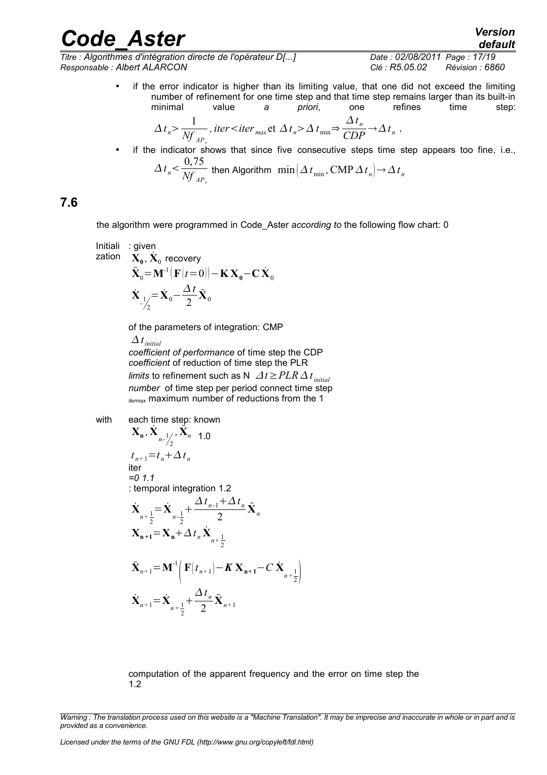*Titre : Algorithmes d'intégration directe de l'opérateur D[...] Date : 02/08/2011 Page : 17/19 Responsable : Albert ALARCON Clé : R5.05.02 Révision : 6860*

• if the error indicator is higher than its limiting value, that one did not exceed the limiting number of refinement for one time step and that time step remains larger than its built-in<br>minimal value a priori one refines time step: minimal value *a priori*, one refines time step: *t*

$$
\Delta t_n > \frac{1}{Nf_{AP_n}}, \text{ iter} < \text{ iter} < \Delta t_n > \Delta t_{\min} \Rightarrow \frac{\Delta t_n}{CDP} \rightarrow \Delta t_n ,
$$

if the indicator shows that since five consecutive steps time step appears too fine, i.e.,  $\Delta t_n < \frac{0.75}{\Delta t}$  $\frac{M}{M}$  then Algorithm  $\min \left( \Delta t_{\min}, \text{CMP } \Delta t_n \right) \rightarrow \Delta t_n$ 

#### **7.6**

<span id="page-16-0"></span>the algorithm were programmed in Code\_Aster *according to* the following flow chart: 0

Initiali: given

\nzation

\n
$$
\mathbf{X}_0, \dot{\mathbf{X}}_0 \text{ recovery}
$$
\n
$$
\ddot{\mathbf{X}}_0 = \mathbf{M}^{-1} \big( \mathbf{F}(t=0) \big) - \mathbf{K} \mathbf{X}_0 - \mathbf{C} \dot{\mathbf{X}}_0
$$
\n
$$
\dot{\mathbf{X}}_{-1/2} = \dot{\mathbf{X}}_0 - \frac{\Delta t}{2} \ddot{\mathbf{X}}_0
$$

of the parameters of integration: CMP

 $\Delta t$ <sub>initial</sub> *coefficient of performance* of time step the CDP *coefficient* of reduction of time step the PLR *limits* to refinement such as N  $\varDelta t$  ≥  $PLR\varDelta t$   $_{initial}$ *number* of time step per period connect time step *itermax* maximum number of reductions from the 1

with each time step: known

$$
\mathbf{X}_{n}, \dot{\mathbf{X}}_{n-\frac{1}{2}}, \ddot{\mathbf{X}}_{n-1,0}
$$
\n
$$
t_{n+1} = t_{n} + \Delta t_{n}
$$
\niter\n= 0 1.1\n: temporal integration 1.2\n
$$
\dot{\mathbf{X}}_{n+\frac{1}{2}} = \dot{\mathbf{X}}_{n-\frac{1}{2}} + \frac{\Delta t_{n-1} + \Delta t_{n}}{2} \ddot{\mathbf{X}}_{n}
$$
\n
$$
\mathbf{X}_{n+1} = \mathbf{X}_{n} + \Delta t_{n} \dot{\mathbf{X}}_{n+\frac{1}{2}}
$$
\n
$$
\ddot{\mathbf{X}}_{n+1} = \mathbf{M}^{-1} \Big( \mathbf{F} \Big( t_{n+1} \Big) - \mathbf{K} \mathbf{X}_{n+1} - C \dot{\mathbf{X}}_{n+\frac{1}{2}} \Big)
$$
\n
$$
\dot{\mathbf{X}}_{n+1} = \dot{\mathbf{X}}_{n+\frac{1}{2}} + \frac{\Delta t_{n}}{2} \ddot{\mathbf{X}}_{n+1}
$$

computation of the apparent frequency and the error on time step the 1.2

*Warning : The translation process used on this website is a "Machine Translation". It may be imprecise and inaccurate in whole or in part and is provided as a convenience.*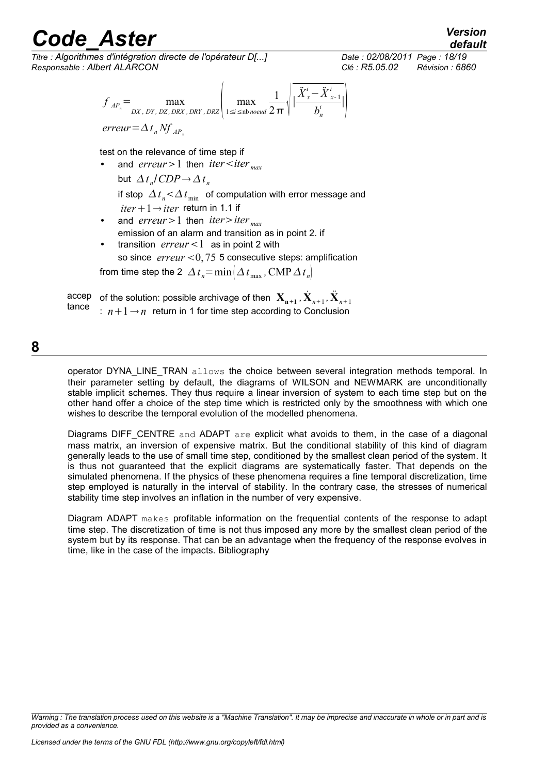*Titre : Algorithmes d'intégration directe de l'opérateur D[...] Date : 02/08/2011 Page : 18/19 Responsable : Albert ALARCON Clé : R5.05.02 Révision : 6860*

*default*

$$
f_{AP_n} = \max_{DX, DY, DY, DZ, DRY, DRY, DRZ} \left( \max_{1 \le i \le \text{nb} \text{ novel}} \frac{1}{2 \pi} \sqrt{\frac{\ddot{X}_x^i - \ddot{X}_{x-1}^i}{b_n^i}} \right)
$$
  
error =  $\Delta t_n Nf_{AP_n}$ 

test on the relevance of time step if

- and *erreur* > 1 then *iter*  $\lt$ *iter*  $_{max}$ but  $\Delta t_n / CDP \rightarrow \Delta t_n$ if stop  $\varDelta\,t_{_{n}}{\leq}\varDelta\,t_{_{\text{min}}}$  of computation with error message and  $iter+1 \rightarrow iter$  return in 1.1 if
- and *erreur* > 1 then *iter* > *iter*  $_{max}$ emission of an alarm and transition as in point 2. if

transition  $\textit{error} < 1$  as in point 2 with so since  $error < 0.75$  5 consecutive steps: amplification

from time step the 2  $\Delta t_{\textit{n}}$  =  $\min \bigl( \Delta t_{\text{max}}$  ,  $\text{CMP} \, \Delta t_{\textit{n}} \bigr)$ 

accep tance of the solution: possible archivage of then  $\mathbf{X_{n+1}}$  ,  $\dot{\mathbf{X}}_{n+1}$  ,  $\ddot{\mathbf{X}}_{n+1}$ :  $n+1 \rightarrow n$  return in 1 for time step according to Conclusion

**8**

<span id="page-17-0"></span>operator DYNA\_LINE\_TRAN allows the choice between several integration methods temporal. In their parameter setting by default, the diagrams of WILSON and NEWMARK are unconditionally stable implicit schemes. They thus require a linear inversion of system to each time step but on the other hand offer a choice of the step time which is restricted only by the smoothness with which one wishes to describe the temporal evolution of the modelled phenomena.

Diagrams DIFF\_CENTRE and ADAPT are explicit what avoids to them, in the case of a diagonal mass matrix, an inversion of expensive matrix. But the conditional stability of this kind of diagram generally leads to the use of small time step, conditioned by the smallest clean period of the system. It is thus not guaranteed that the explicit diagrams are systematically faster. That depends on the simulated phenomena. If the physics of these phenomena requires a fine temporal discretization, time step employed is naturally in the interval of stability. In the contrary case, the stresses of numerical stability time step involves an inflation in the number of very expensive.

Diagram ADAPT makes profitable information on the frequential contents of the response to adapt time step. The discretization of time is not thus imposed any more by the smallest clean period of the system but by its response. That can be an advantage when the frequency of the response evolves in time, like in the case of the impacts. Bibliography

*Warning : The translation process used on this website is a "Machine Translation". It may be imprecise and inaccurate in whole or in part and is provided as a convenience.*